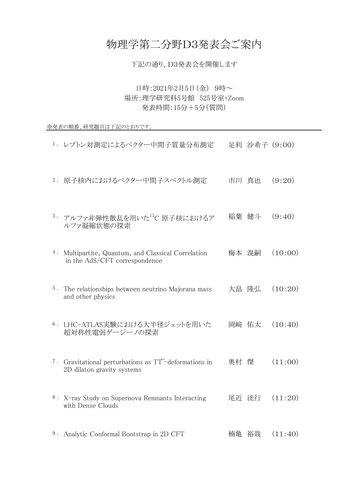## 物理学第二分野D3発表会ご案内

日時:2021年2月5日(金) 9時~ 場所:理学研究科5号館 525号室+Zoom 発表時間:15分+5分(質問)

※発表の順番、研究題目は下記のとおりです。

- 1 . レプトン対測定によるベクター中間子質量分布測定 足利 沙希子 (9:00)
- 2 . 原子核内におけるベクター中間子スペクトル測定 市川 真也 (9:20)
- 3. アルファ非弾性散乱を用いた<sup>13</sup>C 原子核におけるア ルファ凝縮状態の探索 稲葉 健斗 (9:40)
- 4 . Multipartite, Quantum, and Classical Correlation in the AdS/CFT correspondence 梅本 滉嗣 (10:00)
- 5 . The relationships between neutrino Majorana mass 大畠 隆弘 (10:20) and other physics
- 6 . LHC-ATLAS実験における大半径ジェットを用いた 超対称性電弱ゲージーノの探索 岡﨑 佑太 (10:40)
- 7. Gravitational perturbations as TT-deformations in  $\mathbb{R}$ 村 傑  $(11:00)$ 2D dilaton gravity systems
- 8. X-ray Study on Supernova Remnants Interacting with Dense Clouds 尾近 洸行 (11:20)
- 9. Analytic Conformal Bootstrap in 2D CFT have 楠亀 裕哉 (11:40)

下記の通り、D3発表会を開催します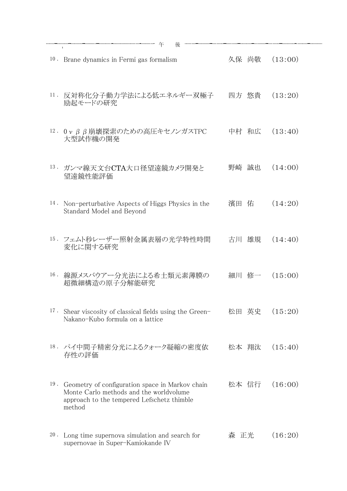18 . パイ中間子精密分光によるクォーク凝縮の密度依 松本 翔汰 (15:40)

## 存性の評価

19 . Geometry of configuration space in Markov chain Monte Carlo methods and the worldvolume approach to the tempered Lefschetz thimble method

| $10$ .<br>Brane dynamics in Fermi gas formalism                                                 | 久保 尚敬    | (13:00) |
|-------------------------------------------------------------------------------------------------|----------|---------|
| 11. 反対称化分子動力学法による低エネルギー双極子<br>励起モードの研究                                                          | 四方 悠貴    | (13:20) |
| 12. $0 \vee \beta \beta$ 崩壊探索のための高圧キセノンガスTPC<br>大型試作機の開発                                        | 中村 和広    | (13:40) |
| 13.<br>- ガンマ線天文台CTA大口径望遠鏡カメラ開発と<br>望遠鏡性能評価                                                      | 野崎 誠也    | (14:00) |
| 14.<br>Non-perturbative Aspects of Higgs Physics in the<br>Standard Model and Beyond            | 佑<br>濱田  | (14:20) |
| 15. フェムト秒レーザー照射金属表層の光学特性時間<br>変化に関する研究                                                          | 雄規<br>古川 | (14:40) |
| $16$ .<br>線源メスバウアー分光法による希土類元素薄膜の<br>超微細構造の原子分解能研究                                               | 細川 修一    | (15:00) |
| 17.<br>Shear viscosity of classical fields using the Green-<br>Nakano-Kubo formula on a lattice | 松田 英史    | (15:20) |
|                                                                                                 |          |         |

## 松本 信行 (16:00)

20 . Long time supernova simulation and search for supernovae in Super-Kamiokande IV

## 森 正光 (16:20)